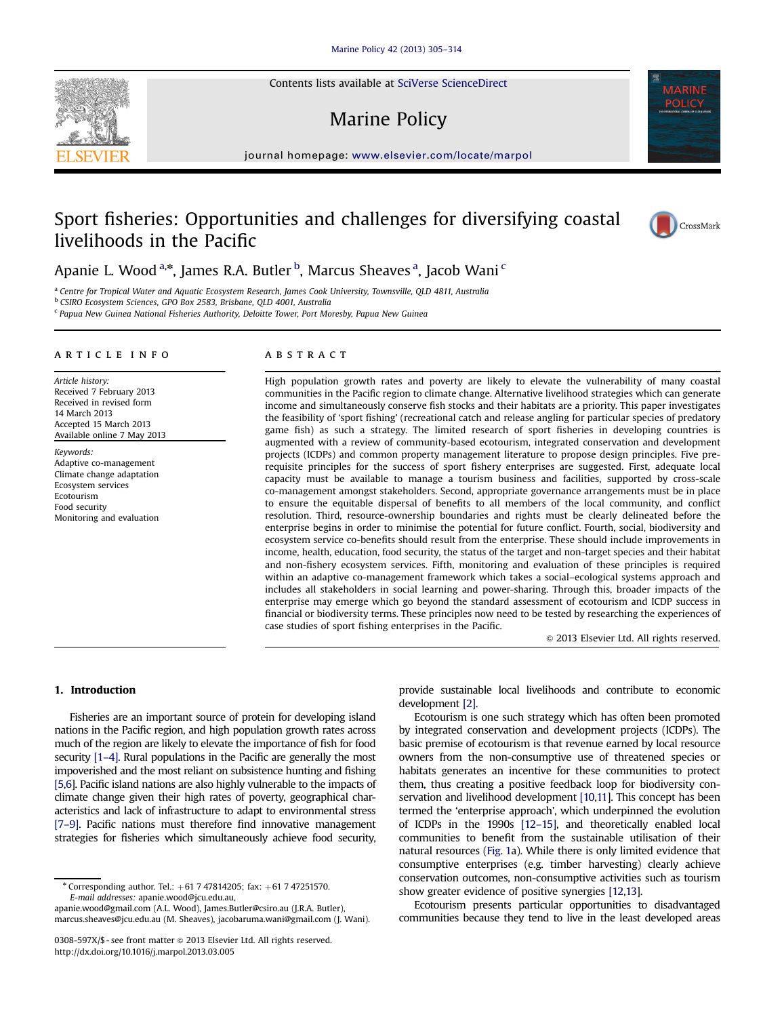Contents lists available at [SciVerse ScienceDirect](www.elsevier.com/locate/marpol)

# Marine Policy

 $j$ 

# Sport fisheries: Opportunities and challenges for diversifying coastal livelihoods in the Pacific



Apanie L. Wood <sup>a,</sup>\*, James R.A. Butler <sup>b</sup>, Marcus Sheaves <sup>a</sup>, Jacob Wani <sup>c</sup>

<sup>a</sup> Centre for Tropical Water and Aquatic Ecosystem Research, James Cook University, Townsville, QLD 4811, Australia

<sup>b</sup> CSIRO Ecosystem Sciences, GPO Box 2583, Brisbane, QLD 4001, Australia

<sup>c</sup> Papua New Guinea National Fisheries Authority, Deloitte Tower, Port Moresby, Papua New Guinea

#### article info

Article history: Received 7 February 2013 Received in revised form 14 March 2013 Accepted 15 March 2013 Available online 7 May 2013

Keywords: Adaptive co-management Climate change adaptation Ecosystem services Ecotourism Food security Monitoring and evaluation

## **ABSTRACT**

High population growth rates and poverty are likely to elevate the vulnerability of many coastal communities in the Pacific region to climate change. Alternative livelihood strategies which can generate income and simultaneously conserve fish stocks and their habitats are a priority. This paper investigates the feasibility of 'sport fishing' (recreational catch and release angling for particular species of predatory game fish) as such a strategy. The limited research of sport fisheries in developing countries is augmented with a review of community-based ecotourism, integrated conservation and development projects (ICDPs) and common property management literature to propose design principles. Five prerequisite principles for the success of sport fishery enterprises are suggested. First, adequate local capacity must be available to manage a tourism business and facilities, supported by cross-scale co-management amongst stakeholders. Second, appropriate governance arrangements must be in place to ensure the equitable dispersal of benefits to all members of the local community, and conflict resolution. Third, resource-ownership boundaries and rights must be clearly delineated before the enterprise begins in order to minimise the potential for future conflict. Fourth, social, biodiversity and ecosystem service co-benefits should result from the enterprise. These should include improvements in income, health, education, food security, the status of the target and non-target species and their habitat and non-fishery ecosystem services. Fifth, monitoring and evaluation of these principles is required within an adaptive co-management framework which takes a social–ecological systems approach and includes all stakeholders in social learning and power-sharing. Through this, broader impacts of the enterprise may emerge which go beyond the standard assessment of ecotourism and ICDP success in financial or biodiversity terms. These principles now need to be tested by researching the experiences of case studies of sport fishing enterprises in the Pacific.

 $\odot$  2013 Elsevier Ltd. All rights reserved.

# 1. Introduction

Fisheries are an important source of protein for developing island nations in the Pacific region, and high population growth rates across much of the region are likely to elevate the importance of fish for food security [1–4]. Rural populations in the Pacific are generally the most impoverished and the most reliant on subsistence hunting and fishing [5,6]. Pacific island nations are also highly vulnerable to the impacts of climate change given their high rates of poverty, geographical characteristics and lack of infrastructure to adapt to environmental stress [7–9]. Pacific nations must therefore find innovative management strategies for fisheries which simultaneously achieve food security,

 $*$  Corresponding author. Tel.:  $+61$  7 47814205; fax:  $+61$  7 47251570. E-mail addresses: [apanie.wood@jcu.edu.au,](mailto:apanie.wood@jcu.edu.au)

[apanie.wood@gmail.com \(A.L. Wood\),](mailto:apanie.wood@gmail.com) [James.Butler@csiro.au \(J.R.A. Butler\)](mailto:James.Butler@csiro.au), [marcus.sheaves@jcu.edu.au \(M. Sheaves\)](mailto:marcus.sheaves@jcu.edu.au), [jacobaruma.wani@gmail.com \(J. Wani\)](mailto:jacobaruma.wani@gmail.com). provide sustainable local livelihoods and contribute to economic development [2].

Ecotourism is one such strategy which has often been promoted by integrated conservation and development projects (ICDPs). The basic premise of ecotourism is that revenue earned by local resource owners from the non-consumptive use of threatened species or habitats generates an incentive for these communities to protect them, thus creating a positive feedback loop for biodiversity conservation and livelihood development [10,11]. This concept has been termed the 'enterprise approach', which underpinned the evolution of ICDPs in the 1990s [12–15], and theoretically enabled local communities to benefit from the sustainable utilisation of their natural resources (Fig. 1a). While there is only limited evidence that consumptive enterprises (e.g. timber harvesting) clearly achieve conservation outcomes, non-consumptive activities such as tourism show greater evidence of positive synergies [12,13].

Ecotourism presents particular opportunities to disadvantaged communities because they tend to live in the least developed areas



<sup>0308-597</sup>X/\$ - see front matter © 2013 Elsevier Ltd. All rights reserved. <http://dx.doi.org/10.1016/j.marpol.2013.03.005>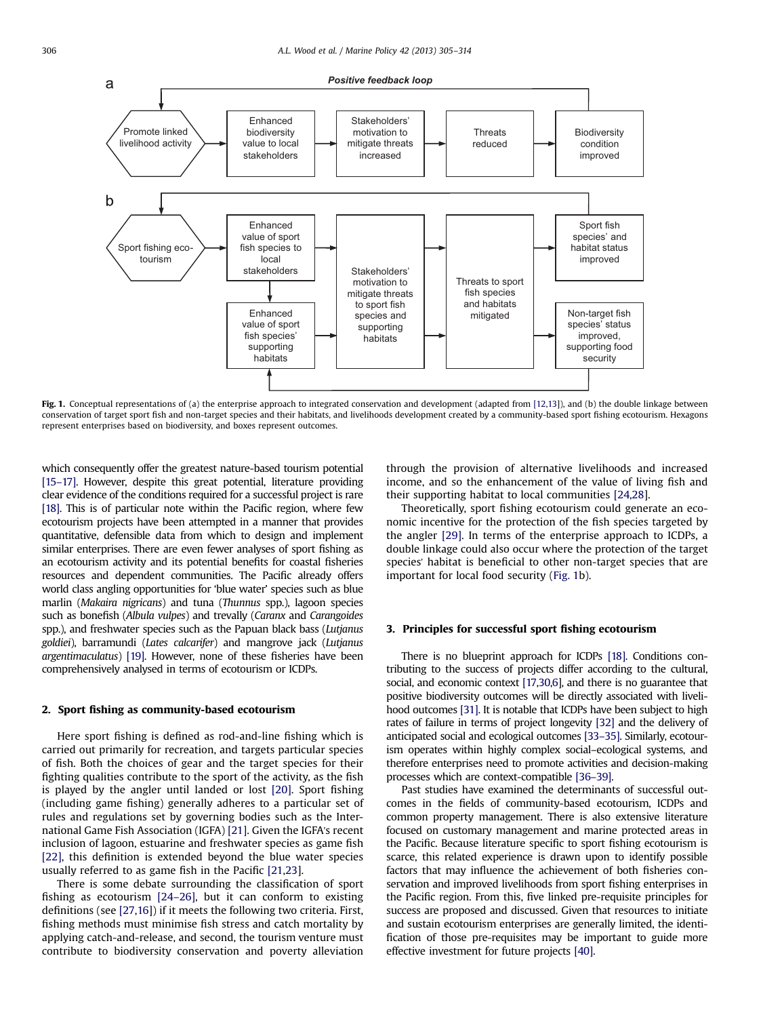

Fig. 1. Conceptual representations of (a) the enterprise approach to integrated conservation and development (adapted from [12,13]), and (b) the double linkage between conservation of target sport fish and non-target species and their habitats, and livelihoods development created by a community-based sport fishing ecotourism. Hexagons represent enterprises based on biodiversity, and boxes represent outcomes.

which consequently offer the greatest nature-based tourism potential [15–17]. However, despite this great potential, literature providing clear evidence of the conditions required for a successful project is rare [18]. This is of particular note within the Pacific region, where few ecotourism projects have been attempted in a manner that provides quantitative, defensible data from which to design and implement similar enterprises. There are even fewer analyses of sport fishing as an ecotourism activity and its potential benefits for coastal fisheries resources and dependent communities. The Pacific already offers world class angling opportunities for 'blue water' species such as blue marlin (Makaira nigricans) and tuna (Thunnus spp.), lagoon species such as bonefish (Albula vulpes) and trevally (Caranx and Carangoides spp.), and freshwater species such as the Papuan black bass (Lutjanus goldiei), barramundi (Lates calcarifer) and mangrove jack (Lutjanus argentimaculatus) [19]. However, none of these fisheries have been comprehensively analysed in terms of ecotourism or ICDPs.

## 2. Sport fishing as community-based ecotourism

Here sport fishing is defined as rod-and-line fishing which is carried out primarily for recreation, and targets particular species of fish. Both the choices of gear and the target species for their fighting qualities contribute to the sport of the activity, as the fish is played by the angler until landed or lost [20]. Sport fishing (including game fishing) generally adheres to a particular set of rules and regulations set by governing bodies such as the International Game Fish Association (IGFA) [21]. Given the IGFA's recent inclusion of lagoon, estuarine and freshwater species as game fish [22], this definition is extended beyond the blue water species usually referred to as game fish in the Pacific [21,23].

There is some debate surrounding the classification of sport fishing as ecotourism [24–26], but it can conform to existing definitions (see [27,16]) if it meets the following two criteria. First, fishing methods must minimise fish stress and catch mortality by applying catch-and-release, and second, the tourism venture must contribute to biodiversity conservation and poverty alleviation through the provision of alternative livelihoods and increased income, and so the enhancement of the value of living fish and their supporting habitat to local communities [24,28].

Theoretically, sport fishing ecotourism could generate an economic incentive for the protection of the fish species targeted by the angler [29]. In terms of the enterprise approach to ICDPs, a double linkage could also occur where the protection of the target species' habitat is beneficial to other non-target species that are important for local food security (Fig. 1b).

### 3. Principles for successful sport fishing ecotourism

There is no blueprint approach for ICDPs [18]. Conditions contributing to the success of projects differ according to the cultural, social, and economic context [17,30,6], and there is no guarantee that positive biodiversity outcomes will be directly associated with livelihood outcomes [31]. It is notable that ICDPs have been subject to high rates of failure in terms of project longevity [32] and the delivery of anticipated social and ecological outcomes [33–35]. Similarly, ecotourism operates within highly complex social–ecological systems, and therefore enterprises need to promote activities and decision-making processes which are context-compatible [36–39].

Past studies have examined the determinants of successful outcomes in the fields of community-based ecotourism, ICDPs and common property management. There is also extensive literature focused on customary management and marine protected areas in the Pacific. Because literature specific to sport fishing ecotourism is scarce, this related experience is drawn upon to identify possible factors that may influence the achievement of both fisheries conservation and improved livelihoods from sport fishing enterprises in the Pacific region. From this, five linked pre-requisite principles for success are proposed and discussed. Given that resources to initiate and sustain ecotourism enterprises are generally limited, the identification of those pre-requisites may be important to guide more effective investment for future projects [40].